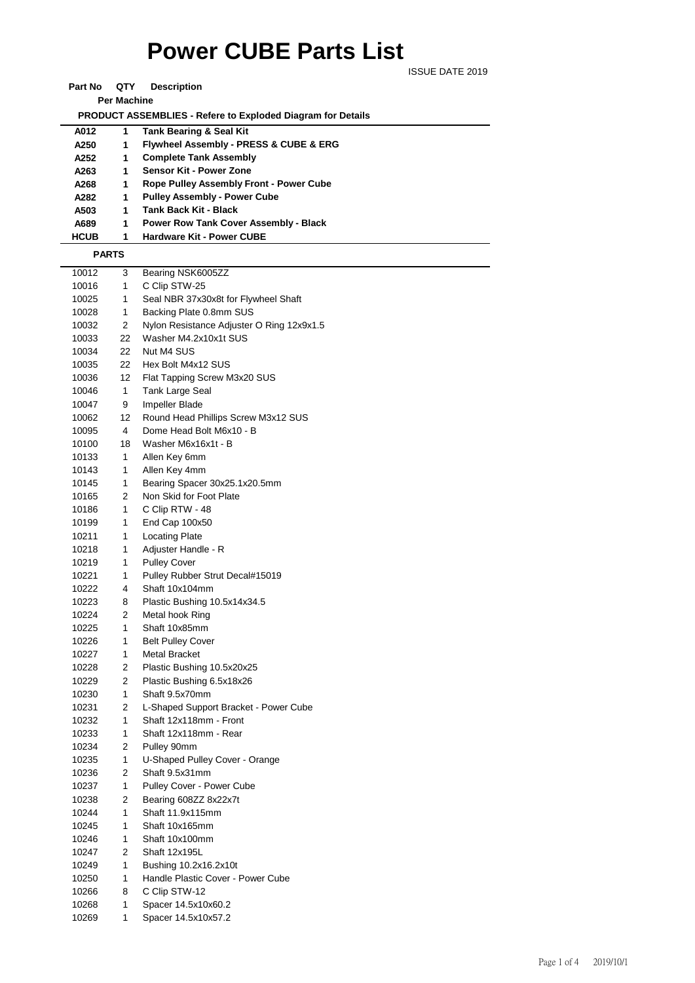## **Power CUBE Parts List**

ISSUE DATE 2019

**Part No QTY Description** 

**Per Machine**

 **PRODUCT ASSEMBLIES - Refere to Exploded Diagram for Details** 

| A012         | 1 | <b>Tank Bearing &amp; Seal Kit</b>             |  |  |
|--------------|---|------------------------------------------------|--|--|
| A250         | 1 | Flywheel Assembly - PRESS & CUBE & ERG         |  |  |
| A252         | 1 | <b>Complete Tank Assembly</b>                  |  |  |
| A263         | 1 | Sensor Kit - Power Zone                        |  |  |
| A268         | 1 | <b>Rope Pulley Assembly Front - Power Cube</b> |  |  |
| A282         | 1 | <b>Pulley Assembly - Power Cube</b>            |  |  |
| A503         | 1 | <b>Tank Back Kit - Black</b>                   |  |  |
| A689         | 1 | <b>Power Row Tank Cover Assembly - Black</b>   |  |  |
| <b>HCUB</b>  | 1 | <b>Hardware Kit - Power CUBE</b>               |  |  |
| <b>PARTS</b> |   |                                                |  |  |

 3 Bearing NSK6005ZZ 1 C Clip STW-25 1 Seal NBR 37x30x8t for Flywheel Shaft 1 Backing Plate 0.8mm SUS 2 Nylon Resistance Adjuster O Ring 12x9x1.5 22 Washer M4.2x10x1t SUS 22 Nut M4 SUS 22 Hex Bolt M4x12 SUS 12 Flat Tapping Screw M3x20 SUS 1 Tank Large Seal 9 Impeller Blade 12 Round Head Phillips Screw M3x12 SUS 4 Dome Head Bolt M6x10 - B 18 Washer M6x16x1t - B 1 Allen Key 6mm 10143 1 Allen Key 4mm 1 Bearing Spacer 30x25.1x20.5mm 2 Non Skid for Foot Plate 1 C Clip RTW - 48 1 End Cap 100x50 10211 1 Locating Plate 1 Adjuster Handle - R 1 Pulley Cover 1 Pulley Rubber Strut Decal#15019 4 Shaft 10x104mm 8 Plastic Bushing 10.5x14x34.5 2 Metal hook Ring 1 Shaft 10x85mm 1 Belt Pulley Cover 1 Metal Bracket 2 Plastic Bushing 10.5x20x25 2 Plastic Bushing 6.5x18x26 1 Shaft 9.5x70mm 2 L-Shaped Support Bracket - Power Cube 1 Shaft 12x118mm - Front 1 Shaft 12x118mm - Rear 2 Pulley 90mm 1 U-Shaped Pulley Cover - Orange 2 Shaft 9.5x31mm 1 Pulley Cover - Power Cube 2 Bearing 608ZZ 8x22x7t 1 Shaft 11.9x115mm 1 Shaft 10x165mm 1 Shaft 10x100mm 2 Shaft 12x195L 1 Bushing 10.2x16.2x10t 1 Handle Plastic Cover - Power Cube 8 C Clip STW-12 1 Spacer 14.5x10x60.2 1 Spacer 14.5x10x57.2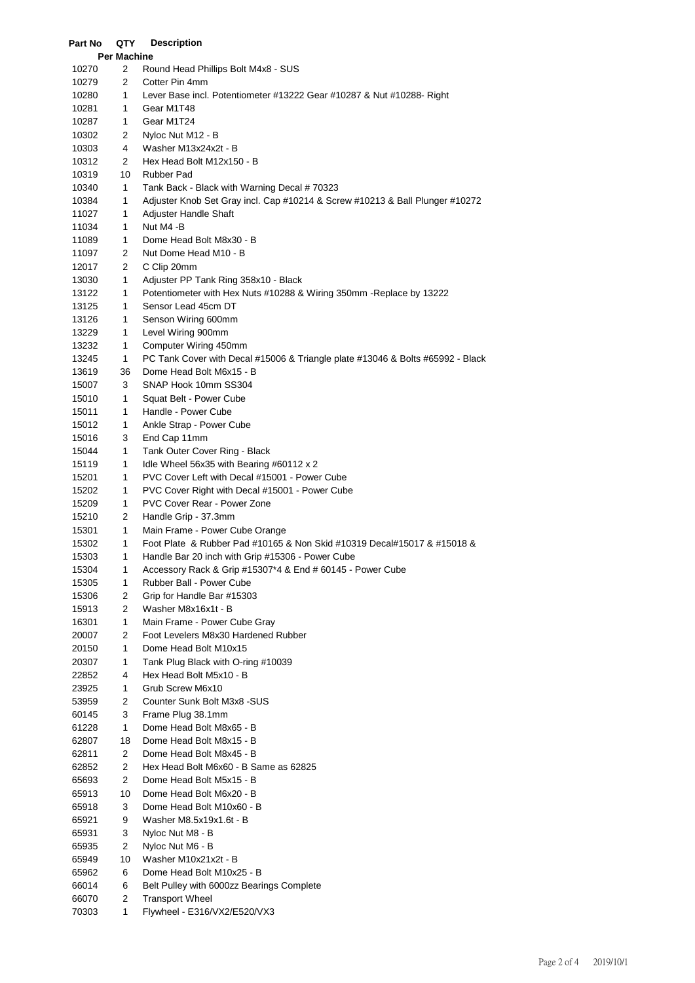| Part No        | QTY                 | <b>Description</b>                                                                                         |
|----------------|---------------------|------------------------------------------------------------------------------------------------------------|
|                | Per Machine         |                                                                                                            |
| 10270          | 2                   | Round Head Phillips Bolt M4x8 - SUS                                                                        |
| 10279          | 2                   | Cotter Pin 4mm                                                                                             |
| 10280          | 1                   | Lever Base incl. Potentiometer #13222 Gear #10287 & Nut #10288- Right                                      |
| 10281          | 1                   | Gear M1T48                                                                                                 |
| 10287          | 1                   | Gear M1T24                                                                                                 |
| 10302          | 2                   | Nyloc Nut M12 - B                                                                                          |
| 10303          | 4                   | Washer M13x24x2t - B                                                                                       |
| 10312          | 2                   | Hex Head Bolt M12x150 - B                                                                                  |
| 10319          | 10                  | <b>Rubber Pad</b>                                                                                          |
| 10340          | 1                   | Tank Back - Black with Warning Decal # 70323                                                               |
| 10384          | 1                   | Adjuster Knob Set Gray incl. Cap #10214 & Screw #10213 & Ball Plunger #10272                               |
| 11027          | 1                   | Adjuster Handle Shaft                                                                                      |
| 11034          | 1                   | Nut M4 -B                                                                                                  |
| 11089          | 1                   | Dome Head Bolt M8x30 - B                                                                                   |
| 11097          | 2                   | Nut Dome Head M10 - B                                                                                      |
| 12017          | 2                   | C Clip 20mm                                                                                                |
| 13030          | 1                   | Adjuster PP Tank Ring 358x10 - Black                                                                       |
| 13122          | 1                   | Potentiometer with Hex Nuts #10288 & Wiring 350mm - Replace by 13222                                       |
| 13125          | 1                   | Sensor Lead 45cm DT                                                                                        |
| 13126          | 1                   | Senson Wiring 600mm                                                                                        |
| 13229          | 1                   | Level Wiring 900mm                                                                                         |
| 13232          | 1                   | Computer Wiring 450mm                                                                                      |
| 13245          | 1<br>36             | PC Tank Cover with Decal #15006 & Triangle plate #13046 & Bolts #65992 - Black<br>Dome Head Bolt M6x15 - B |
| 13619          | 3                   | SNAP Hook 10mm SS304                                                                                       |
| 15007<br>15010 | 1                   | Squat Belt - Power Cube                                                                                    |
| 15011          | 1                   | Handle - Power Cube                                                                                        |
| 15012          | 1                   | Ankle Strap - Power Cube                                                                                   |
| 15016          | 3                   | End Cap 11mm                                                                                               |
| 15044          | 1                   | Tank Outer Cover Ring - Black                                                                              |
| 15119          | 1                   | Idle Wheel 56x35 with Bearing #60112 x 2                                                                   |
| 15201          | 1                   | PVC Cover Left with Decal #15001 - Power Cube                                                              |
| 15202          | 1                   | PVC Cover Right with Decal #15001 - Power Cube                                                             |
| 15209          | 1                   | <b>PVC Cover Rear - Power Zone</b>                                                                         |
| 15210          | 2                   | Handle Grip - 37.3mm                                                                                       |
| 15301          | 1                   | Main Frame - Power Cube Orange                                                                             |
| 15302          | 1                   | Foot Plate & Rubber Pad #10165 & Non Skid #10319 Decal#15017 & #15018 &                                    |
| 15303          | 1                   | Handle Bar 20 inch with Grip #15306 - Power Cube                                                           |
| 15304          | 1                   | Accessory Rack & Grip #15307*4 & End # 60145 - Power Cube                                                  |
| 15305          | 1                   | Rubber Ball - Power Cube                                                                                   |
| 15306          | 2                   | Grip for Handle Bar #15303                                                                                 |
| 15913          | 2                   | Washer M8x16x1t - B                                                                                        |
| 16301          | 1                   | Main Frame - Power Cube Gray                                                                               |
| 20007          | 2                   | Foot Levelers M8x30 Hardened Rubber                                                                        |
| 20150          | 1                   | Dome Head Bolt M10x15                                                                                      |
| 20307          | 1                   | Tank Plug Black with O-ring #10039                                                                         |
| 22852          | 4                   | Hex Head Bolt M5x10 - B                                                                                    |
| 23925          | 1                   | Grub Screw M6x10                                                                                           |
| 53959          | 2                   | Counter Sunk Bolt M3x8 -SUS                                                                                |
| 60145          | 3                   | Frame Plug 38.1mm                                                                                          |
| 61228          | 1                   | Dome Head Bolt M8x65 - B                                                                                   |
| 62807          | 18                  | Dome Head Bolt M8x15 - B                                                                                   |
| 62811          | 2                   | Dome Head Bolt M8x45 - B                                                                                   |
| 62852          | $\overline{c}$      | Hex Head Bolt M6x60 - B Same as 62825                                                                      |
| 65693          | 2                   | Dome Head Bolt M5x15 - B                                                                                   |
| 65913          | 10                  | Dome Head Bolt M6x20 - B                                                                                   |
| 65918          | 3                   | Dome Head Bolt M10x60 - B                                                                                  |
| 65921          | 9                   | Washer M8.5x19x1.6t - B                                                                                    |
| 65931          | 3                   | Nyloc Nut M8 - B                                                                                           |
| 65935          | $\overline{c}$      | Nyloc Nut M6 - B                                                                                           |
| 65949          | 10                  | Washer M10x21x2t - B                                                                                       |
| 65962          | 6                   | Dome Head Bolt M10x25 - B                                                                                  |
| 66014<br>66070 | 6<br>$\overline{c}$ | Belt Pulley with 6000zz Bearings Complete<br><b>Transport Wheel</b>                                        |
| 70303          | 1                   | Flywheel - E316/VX2/E520/VX3                                                                               |
|                |                     |                                                                                                            |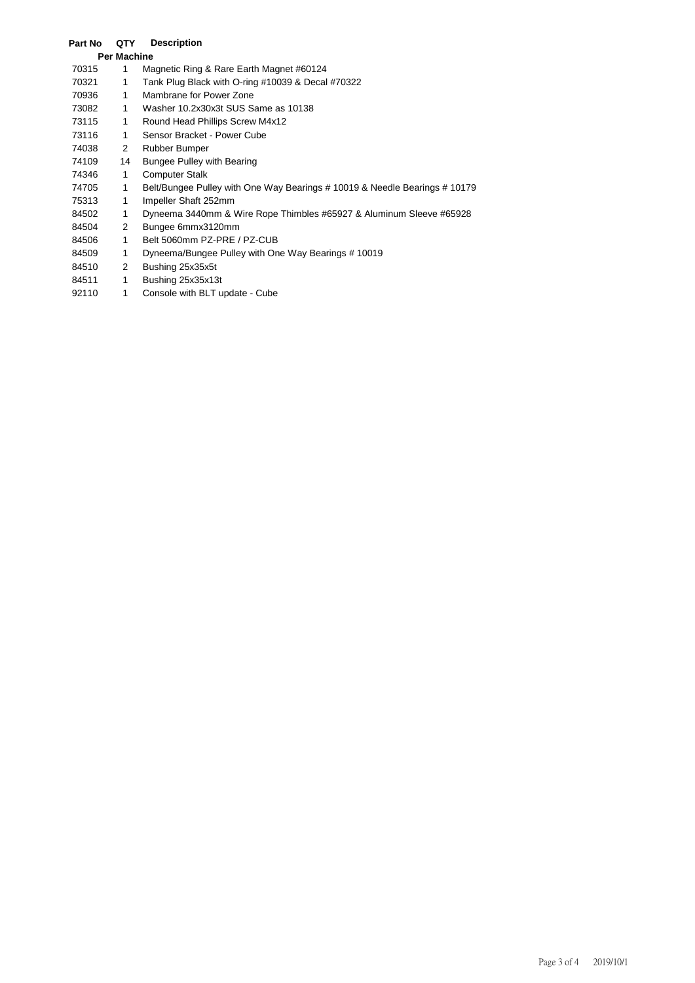## **Part No QTY Description**

| <b>Per Machine</b> |    |                                                                            |
|--------------------|----|----------------------------------------------------------------------------|
| 70315              | 1  | Magnetic Ring & Rare Earth Magnet #60124                                   |
| 70321              | 1  | Tank Plug Black with O-ring #10039 & Decal #70322                          |
| 70936              | 1  | Mambrane for Power Zone                                                    |
| 73082              | 1  | Washer 10.2x30x3t SUS Same as 10138                                        |
| 73115              | 1  | Round Head Phillips Screw M4x12                                            |
| 73116              | 1  | Sensor Bracket - Power Cube                                                |
| 74038              | 2  | Rubber Bumper                                                              |
| 74109              | 14 | <b>Bungee Pulley with Bearing</b>                                          |
| 74346              | 1  | <b>Computer Stalk</b>                                                      |
| 74705              | 1  | Belt/Bungee Pulley with One Way Bearings # 10019 & Needle Bearings # 10179 |
| 75313              | 1  | Impeller Shaft 252mm                                                       |
| 84502              | 1  | Dyneema 3440mm & Wire Rope Thimbles #65927 & Aluminum Sleeve #65928        |
| 84504              | 2  | Bungee 6mmx3120mm                                                          |
| 84506              | 1  | Belt 5060mm PZ-PRE / PZ-CUB                                                |
| 84509              | 1  | Dyneema/Bungee Pulley with One Way Bearings #10019                         |
| 84510              | 2  | Bushing 25x35x5t                                                           |
| 84511              | 1  | Bushing 25x35x13t                                                          |
| 92110              | 1  | Console with BLT update - Cube                                             |
|                    |    |                                                                            |